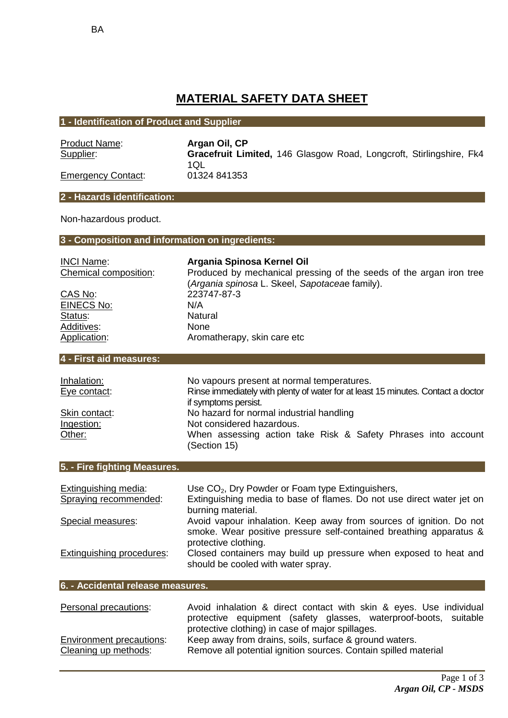# **MATERIAL SAFETY DATA SHEET**

## **1 - Identification of Product and Supplier**

| <b>Product Name:</b>      | Argan Oil, CP                                                       |
|---------------------------|---------------------------------------------------------------------|
| Supplier:                 | Gracefruit Limited, 146 Glasgow Road, Longcroft, Stirlingshire, Fk4 |
|                           | 1QL                                                                 |
| <b>Emergency Contact:</b> | 01324 841353                                                        |

**2 - Hazards identification:**

Non-hazardous product.

**3 - Composition and information on ingredients:**

# Status:

# INCI Name: **Argania Spinosa Kernel Oil**

Chemical composition: Produced by mechanical pressing of the seeds of the argan iron tree (*Argania spinosa* L. Skeel, *Sapotacea*e family). CAS No: 223747-87-3<br>FINECS No: N/A EINECS No: N/A<br>Status: Natural Additives: None Application: Aromatherapy, skin care etc

## **4 - First aid measures:**

| Inhalation:   | No vapours present at normal temperatures.                                       |
|---------------|----------------------------------------------------------------------------------|
| Eye contact:  | Rinse immediately with plenty of water for at least 15 minutes. Contact a doctor |
|               | if symptoms persist.                                                             |
| Skin contact: | No hazard for normal industrial handling                                         |
| Ingestion:    | Not considered hazardous.                                                        |
| Other:        | When assessing action take Risk & Safety Phrases into account<br>(Section 15)    |

#### **5. - Fire fighting Measures.**

| Extinguishing media:      | Use CO <sub>2</sub> , Dry Powder or Foam type Extinguishers,          |
|---------------------------|-----------------------------------------------------------------------|
| Spraying recommended:     | Extinguishing media to base of flames. Do not use direct water jet on |
|                           | burning material.                                                     |
| Special measures:         | Avoid vapour inhalation. Keep away from sources of ignition. Do not   |
|                           | smoke. Wear positive pressure self-contained breathing apparatus &    |
|                           | protective clothing.                                                  |
| Extinguishing procedures: | Closed containers may build up pressure when exposed to heat and      |
|                           | should be cooled with water spray.                                    |

#### **6. - Accidental release measures.**

| Personal precautions:           | Avoid inhalation & direct contact with skin & eyes. Use individual |  |  |
|---------------------------------|--------------------------------------------------------------------|--|--|
|                                 | protective equipment (safety glasses, waterproof-boots, suitable   |  |  |
|                                 | protective clothing) in case of major spillages.                   |  |  |
| <b>Environment precautions:</b> | Keep away from drains, soils, surface & ground waters.             |  |  |
| Cleaning up methods:            | Remove all potential ignition sources. Contain spilled material    |  |  |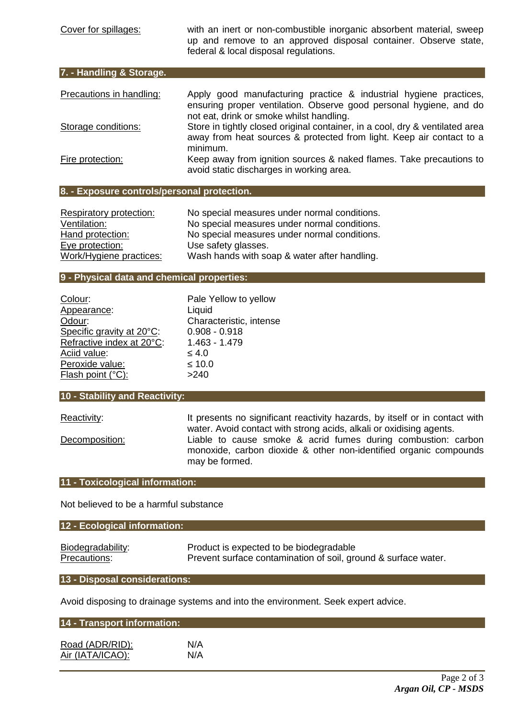Cover for spillages: with an inert or non-combustible inorganic absorbent material, sweep up and remove to an approved disposal container. Observe state, federal & local disposal regulations.

| 7. - Handling & Storage. |                                                                              |
|--------------------------|------------------------------------------------------------------------------|
| Precautions in handling: | Apply good manufacturing practice & industrial hygiene practices,            |
|                          | ensuring proper ventilation. Observe good personal hygiene, and do           |
|                          | not eat, drink or smoke whilst handling.                                     |
| Storage conditions:      | Store in tightly closed original container, in a cool, dry & ventilated area |
|                          | away from heat sources & protected from light. Keep air contact to a         |

minimum. Fire protection: Keep away from ignition sources & naked flames. Take precautions to avoid static discharges in working area.

#### **8. - Exposure controls/personal protection.**

| Respiratory protection: | No special measures under normal conditions. |
|-------------------------|----------------------------------------------|
| Ventilation:            | No special measures under normal conditions. |
| Hand protection:        | No special measures under normal conditions. |
| Eye protection:         | Use safety glasses.                          |
| Work/Hygiene practices: | Wash hands with soap & water after handling. |

## **9 - Physical data and chemical properties:**

| Colour:                   | Pale Yellow to y  |
|---------------------------|-------------------|
| Appearance:               | Liquid            |
| Odour:                    | Characteristic, i |
| Specific gravity at 20°C: | $0.908 - 0.918$   |
| Refractive index at 20°C: | $1.463 - 1.479$   |
| Aciid value:              | 4.0               |
| Peroxide value:           | 10.0              |
| Flash point (°C):         | >240              |

racteristic, intense 8 - 0.918  $3 - 1.479$ 

Yellow to yellow

#### **10 - Stability and Reactivity:**

Reactivity: It presents no significant reactivity hazards, by itself or in contact with water. Avoid contact with strong acids, alkali or oxidising agents. Decomposition: Liable to cause smoke & acrid fumes during combustion: carbon monoxide, carbon dioxide & other non-identified organic compounds may be formed.

#### **11 - Toxicological information:**

Not believed to be a harmful substance

#### **12 - Ecological information:**

| Biodegradability: | Product is expected to be biodegradable                        |
|-------------------|----------------------------------------------------------------|
| Precautions:      | Prevent surface contamination of soil, ground & surface water. |

#### **13 - Disposal considerations:**

Avoid disposing to drainage systems and into the environment. Seek expert advice.

| 14 - Transport information: |     |  |
|-----------------------------|-----|--|
| Road (ADR/RID):             | N/A |  |
| Air (IATA/ICAO):            | N/A |  |